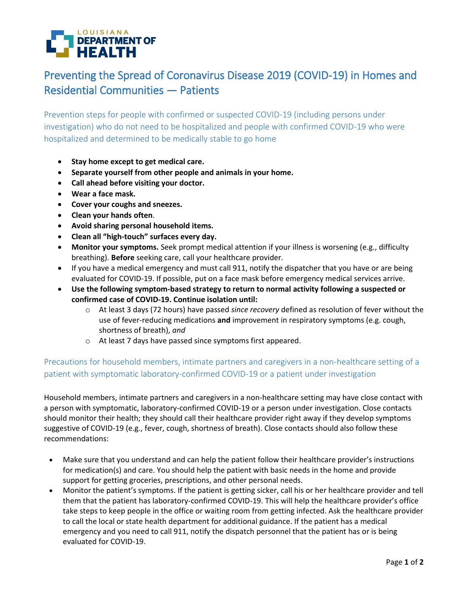

## Preventing the Spread of Coronavirus Disease 2019 (COVID-19) in Homes and Residential Communities — Patients

Prevention steps for people with confirmed or suspected COVID-19 (including persons under investigation) who do not need to be hospitalized and people with confirmed COVID-19 who were hospitalized and determined to be medically stable to go home

- **Stay home except to get medical care.**
- **Separate yourself from other people and animals in your home.**
- **Call ahead before visiting your doctor.**
- **Wear a face mask.**
- **Cover your coughs and sneezes.**
- **Clean your hands often**.
- **Avoid sharing personal household items.**
- **Clean all "high-touch" surfaces every day.**
- **Monitor your symptoms.** Seek prompt medical attention if your illness is worsening (e.g., difficulty breathing). **Before** seeking care, call your healthcare provider.
- If you have a medical emergency and must call 911, notify the dispatcher that you have or are being evaluated for COVID-19. If possible, put on a face mask before emergency medical services arrive.
- **Use the following symptom-based strategy to return to normal activity following a suspected or confirmed case of COVID-19. Continue isolation until:**
	- o At least 3 days (72 hours) have passed *since recovery* defined as resolution of fever without the use of fever-reducing medications **and** improvement in respiratory symptoms (e.g. cough, shortness of breath), *and*
	- o At least 7 days have passed since symptoms first appeared.

## Precautions for household members, intimate partners and caregivers in a non-healthcare setting of a patient with symptomatic laboratory-confirmed COVID-19 or a patient under investigation

Household members, intimate partners and caregivers in a non-healthcare setting may have close contact with a person with symptomatic, laboratory-confirmed COVID-19 or a person under investigation. Close contacts should monitor their health; they should call their healthcare provider right away if they develop symptoms suggestive of COVID-19 (e.g., fever, cough, shortness of breath). Close contacts should also follow these recommendations:

- Make sure that you understand and can help the patient follow their healthcare provider's instructions for medication(s) and care. You should help the patient with basic needs in the home and provide support for getting groceries, prescriptions, and other personal needs.
- Monitor the patient's symptoms. If the patient is getting sicker, call his or her healthcare provider and tell them that the patient has laboratory-confirmed COVID-19. This will help the healthcare provider's office take steps to keep people in the office or waiting room from getting infected. Ask the healthcare provider to call the local or state health department for additional guidance. If the patient has a medical emergency and you need to call 911, notify the dispatch personnel that the patient has or is being evaluated for COVID-19.